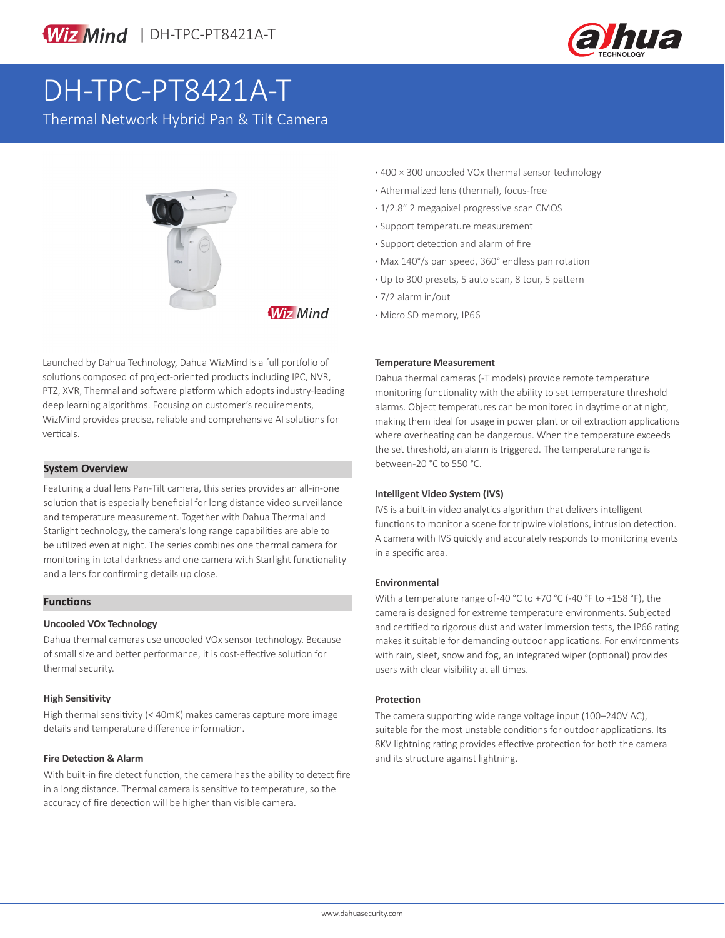



# DH-TPC-PT8421A-T

Thermal Network Hybrid Pan & Tilt Camera



**Wiz Mind** 

Launched by Dahua Technology, Dahua WizMind is a full portfolio of solutions composed of project-oriented products including IPC, NVR, PTZ, XVR, Thermal and software platform which adopts industry-leading deep learning algorithms. Focusing on customer's requirements, WizMind provides precise, reliable and comprehensive AI solutions for verticals.

#### **System Overview**

Featuring a dual lens Pan-Tilt camera, this series provides an all-in-one solution that is especially beneficial for long distance video surveillance and temperature measurement. Together with Dahua Thermal and Starlight technology, the camera's long range capabilities are able to be utilized even at night. The series combines one thermal camera for monitoring in total darkness and one camera with Starlight functionality and a lens for confirming details up close.

#### **Functions**

#### **Uncooled VOx Technology**

Dahua thermal cameras use uncooled VOx sensor technology. Because of small size and better performance, it is cost-effective solution for thermal security.

#### **High Sensitivity**

High thermal sensitivity (< 40mK) makes cameras capture more image details and temperature difference information.

#### **Fire Detection & Alarm**

With built-in fire detect function, the camera has the ability to detect fire in a long distance. Thermal camera is sensitive to temperature, so the accuracy of fire detection will be higher than visible camera.

- **·** 400 × 300 uncooled VOx thermal sensor technology
- **·** Athermalized lens (thermal), focus-free
- **·** 1/2.8" 2 megapixel progressive scan CMOS
- **·** Support temperature measurement
- **·** Support detection and alarm of fire
- **·** Max 140°/s pan speed, 360° endless pan rotation
- **·** Up to 300 presets, 5 auto scan, 8 tour, 5 pattern
- **·** 7/2 alarm in/out
- **·** Micro SD memory, IP66

#### **Temperature Measurement**

Dahua thermal cameras (-T models) provide remote temperature monitoring functionality with the ability to set temperature threshold alarms. Object temperatures can be monitored in daytime or at night, making them ideal for usage in power plant or oil extraction applications where overheating can be dangerous. When the temperature exceeds the set threshold, an alarm is triggered. The temperature range is between -20 °C to 550 °C.

#### **Intelligent Video System (IVS)**

IVS is a built-in video analytics algorithm that delivers intelligent functions to monitor a scene for tripwire violations, intrusion detection. A camera with IVS quickly and accurately responds to monitoring events in a specific area.

#### **Environmental**

With a temperature range of -40 °C to +70 °C (-40 °F to +158 °F), the camera is designed for extreme temperature environments. Subjected and certified to rigorous dust and water immersion tests, the IP66 rating makes it suitable for demanding outdoor applications. For environments with rain, sleet, snow and fog, an integrated wiper (optional) provides users with clear visibility at all times.

#### **Protection**

The camera supporting wide range voltage input (100–240V AC), suitable for the most unstable conditions for outdoor applications. Its 8KV lightning rating provides effective protection for both the camera and its structure against lightning.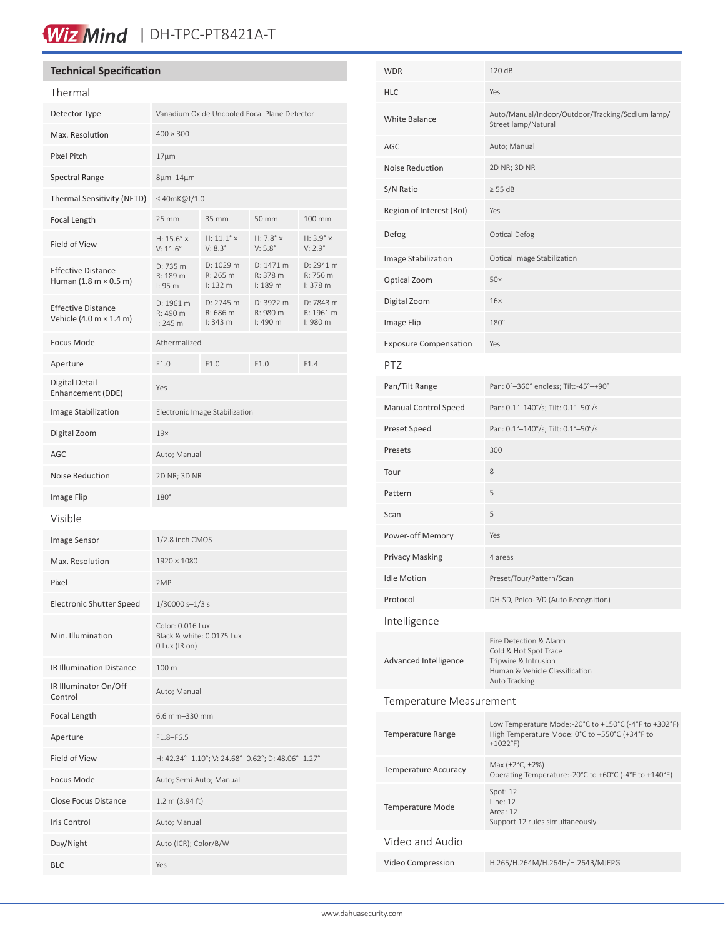## Wiz Mind | DH-TPC-PT8421A-T

#### **Technical Specification**

| Thermal                                                                     |                                                                |                                                   |                                         |                                         |
|-----------------------------------------------------------------------------|----------------------------------------------------------------|---------------------------------------------------|-----------------------------------------|-----------------------------------------|
| Detector Type                                                               | Vanadium Oxide Uncooled Focal Plane Detector                   |                                                   |                                         |                                         |
| Max. Resolution                                                             | $400 \times 300$                                               |                                                   |                                         |                                         |
| Pixel Pitch                                                                 | $17 \mu m$                                                     |                                                   |                                         |                                         |
| <b>Spectral Range</b>                                                       | $8\mu$ m-14 $\mu$ m                                            |                                                   |                                         |                                         |
| Thermal Sensitivity (NETD)                                                  | $\leq$ 40mK@f/1.0                                              |                                                   |                                         |                                         |
| Focal Length                                                                | 25 mm                                                          | 35 mm                                             | 50 mm                                   | 100 mm                                  |
| Field of View                                                               | $H: 15.6^\circ \times$<br>$V: 11.6^{\circ}$                    | $H: 11.1^\circ \times$<br>$V: 8.3^\circ$          | H: $7.8^\circ \times$<br>$V: 5.8^\circ$ | $H: 3.9^\circ \times$<br>$V: 2.9^\circ$ |
| <b>Effective Distance</b><br>Human $(1.8 \text{ m} \times 0.5 \text{ m})$   | D: 735 m<br>R: 189 m<br>l: 95 m                                | D: 1029 m<br>R: 265 m<br>1:132 m                  | D: 1471 m<br>R: 378 m<br>1:189m         | D: 2941 m<br>R: 756 m<br>1:378 m        |
| <b>Effective Distance</b><br>Vehicle $(4.0 \text{ m} \times 1.4 \text{ m})$ | D: 1961 m<br>R: 490 m<br>$1:245$ m                             | D: 2745 m<br>R: 686 m<br>1:343 m                  | D: 3922 m<br>R: 980 m<br>l:490 m        | D: 7843 m<br>R: 1961 m<br>I: 980 m      |
| Focus Mode                                                                  | Athermalized                                                   |                                                   |                                         |                                         |
| Aperture                                                                    | F1.0                                                           | F1.0                                              | F1.0                                    | F1.4                                    |
| Digital Detail<br>Enhancement (DDE)                                         | Yes                                                            |                                                   |                                         |                                         |
| Image Stabilization                                                         | Electronic Image Stabilization                                 |                                                   |                                         |                                         |
| Digital Zoom                                                                | 19x                                                            |                                                   |                                         |                                         |
| AGC                                                                         | Auto; Manual                                                   |                                                   |                                         |                                         |
| Noise Reduction                                                             | 2D NR; 3D NR                                                   |                                                   |                                         |                                         |
| Image Flip                                                                  | 180°                                                           |                                                   |                                         |                                         |
| Visible                                                                     |                                                                |                                                   |                                         |                                         |
| Image Sensor                                                                | 1/2.8 inch CMOS                                                |                                                   |                                         |                                         |
| Max. Resolution                                                             | $1920 \times 1080$                                             |                                                   |                                         |                                         |
| Pixel                                                                       | 2MP                                                            |                                                   |                                         |                                         |
| <b>Electronic Shutter Speed</b>                                             | $1/30000 s - 1/3 s$                                            |                                                   |                                         |                                         |
| Min. Illumination                                                           | Color: 0.016 Lux<br>Black & white: 0.0175 Lux<br>0 Lux (IR on) |                                                   |                                         |                                         |
| IR Illumination Distance                                                    | 100 m                                                          |                                                   |                                         |                                         |
| IR Illuminator On/Off<br>Control                                            | Auto; Manual                                                   |                                                   |                                         |                                         |
| Focal Length                                                                | 6.6 mm-330 mm                                                  |                                                   |                                         |                                         |
| Aperture                                                                    | $F1.8 - F6.5$                                                  |                                                   |                                         |                                         |
| Field of View                                                               |                                                                | H: 42.34°-1.10°; V: 24.68°-0.62°; D: 48.06°-1.27° |                                         |                                         |
| Focus Mode                                                                  | Auto; Semi-Auto; Manual                                        |                                                   |                                         |                                         |
| <b>Close Focus Distance</b>                                                 | $1.2 \text{ m}$ (3.94 ft)                                      |                                                   |                                         |                                         |
| Iris Control                                                                | Auto; Manual                                                   |                                                   |                                         |                                         |
| Day/Night                                                                   | Auto (ICR); Color/B/W                                          |                                                   |                                         |                                         |
| <b>BLC</b>                                                                  | Yes                                                            |                                                   |                                         |                                         |

| WDR                          | 120 dB                                                                                                                     |  |  |
|------------------------------|----------------------------------------------------------------------------------------------------------------------------|--|--|
| HLC                          | Yes                                                                                                                        |  |  |
| <b>White Balance</b>         | Auto/Manual/Indoor/Outdoor/Tracking/Sodium lamp/<br>Street lamp/Natural                                                    |  |  |
| AGC                          | Auto; Manual                                                                                                               |  |  |
| <b>Noise Reduction</b>       | 2D NR; 3D NR                                                                                                               |  |  |
| S/N Ratio                    | $\geq$ 55 dB                                                                                                               |  |  |
| Region of Interest (RoI)     | Yes                                                                                                                        |  |  |
| Defog                        | Optical Defog                                                                                                              |  |  |
| Image Stabilization          | Optical Image Stabilization                                                                                                |  |  |
| Optical Zoom                 | 50x                                                                                                                        |  |  |
| Digital Zoom                 | $16\times$                                                                                                                 |  |  |
| Image Flip                   | $180^\circ$                                                                                                                |  |  |
| <b>Exposure Compensation</b> | Yes                                                                                                                        |  |  |
| PTZ                          |                                                                                                                            |  |  |
| Pan/Tilt Range               | Pan: 0°-360° endless; Tilt:-45°-+90°                                                                                       |  |  |
| <b>Manual Control Speed</b>  | Pan: 0.1°-140°/s; Tilt: 0.1°-50°/s                                                                                         |  |  |
| Preset Speed                 | Pan: 0.1°-140°/s; Tilt: 0.1°-50°/s                                                                                         |  |  |
| Presets                      | 300                                                                                                                        |  |  |
| Tour                         | 8                                                                                                                          |  |  |
| Pattern                      | 5                                                                                                                          |  |  |
| Scan                         | 5                                                                                                                          |  |  |
| Power-off Memory             | Yes                                                                                                                        |  |  |
| <b>Privacy Masking</b>       | 4 areas                                                                                                                    |  |  |
| <b>Idle Motion</b>           | Preset/Tour/Pattern/Scan                                                                                                   |  |  |
| Protocol                     | DH-SD, Pelco-P/D (Auto Recognition)                                                                                        |  |  |
| Intelligence                 |                                                                                                                            |  |  |
| Advanced Intelligence        | Fire Detection & Alarm<br>Cold & Hot Spot Trace<br>Tripwire & Intrusion<br>Human & Vehicle Classification<br>Auto Tracking |  |  |
| Temperature Measurement      |                                                                                                                            |  |  |
| <b>Temperature Range</b>     | Low Temperature Mode:-20°C to +150°C (-4°F to +302°F)<br>High Temperature Mode: 0°C to +550°C (+34°F to<br>$+1022$ °F)     |  |  |
| Temperature Accuracy         | Max (±2°C, ±2%)<br>Operating Temperature:-20°C to +60°C (-4°F to +140°F)                                                   |  |  |
| <b>Temperature Mode</b>      | Spot: 12<br>Line: 12<br>Area: 12<br>Support 12 rules simultaneously                                                        |  |  |
| Video and Audio              |                                                                                                                            |  |  |
| Video Compression            | H.265/H.264M/H.264H/H.264B/MJEPG                                                                                           |  |  |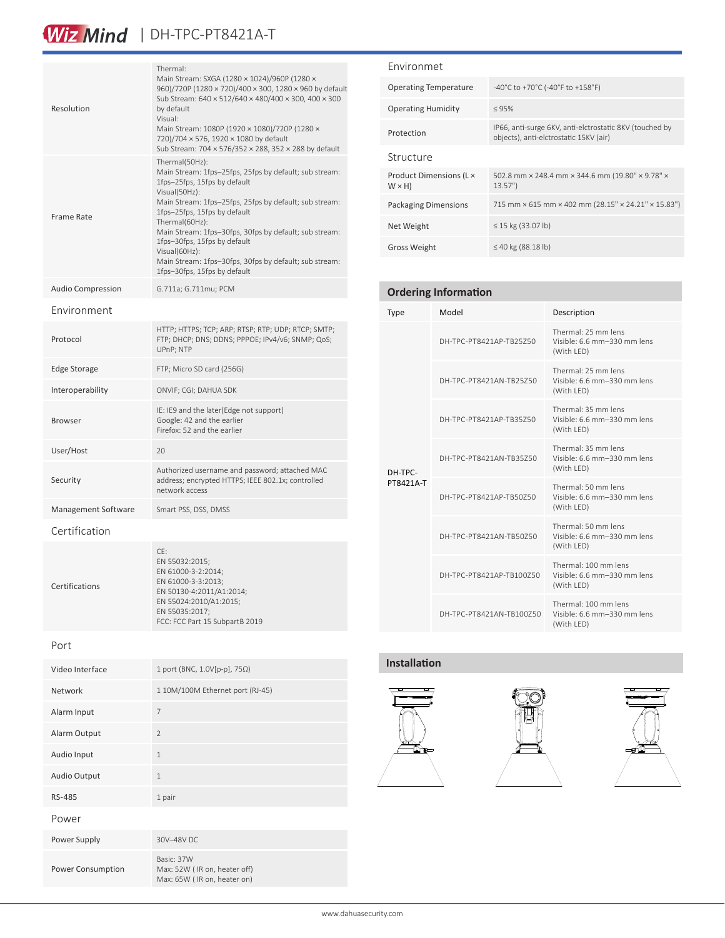### Wiz Mind | DH-TPC-PT8421A-T

| Resolution               | Thermal:<br>Main Stream: SXGA (1280 × 1024)/960P (1280 ×<br>960)/720P (1280 × 720)/400 × 300, 1280 × 960 by default<br>Sub Stream: 640 × 512/640 × 480/400 × 300, 400 × 300<br>by default<br>Visual:<br>Main Stream: 1080P (1920 × 1080)/720P (1280 ×<br>720)/704 × 576, 1920 × 1080 by default<br>Sub Stream: 704 × 576/352 × 288, 352 × 288 by default                                                                                   |
|--------------------------|--------------------------------------------------------------------------------------------------------------------------------------------------------------------------------------------------------------------------------------------------------------------------------------------------------------------------------------------------------------------------------------------------------------------------------------------|
| <b>Frame Rate</b>        | Thermal(50Hz):<br>Main Stream: 1fps-25fps, 25fps by default; sub stream:<br>1fps-25fps, 15fps by default<br>Visual(50Hz):<br>Main Stream: 1fps-25fps, 25fps by default; sub stream:<br>1fps-25fps, 15fps by default<br>Thermal(60Hz):<br>Main Stream: 1fps-30fps, 30fps by default; sub stream:<br>1fps-30fps, 15fps by default<br>Visual(60Hz):<br>Main Stream: 1fps-30fps, 30fps by default; sub stream:<br>1fps-30fps, 15fps by default |
| <b>Audio Compression</b> | G.711a; G.711mu; PCM                                                                                                                                                                                                                                                                                                                                                                                                                       |
| Environment              |                                                                                                                                                                                                                                                                                                                                                                                                                                            |
| Protocol                 | HTTP; HTTPS; TCP; ARP; RTSP; RTP; UDP; RTCP; SMTP;<br>FTP; DHCP; DNS; DDNS; PPPOE; IPv4/v6; SNMP; QoS;<br>UPnP; NTP                                                                                                                                                                                                                                                                                                                        |
| <b>Edge Storage</b>      | FTP; Micro SD card (256G)                                                                                                                                                                                                                                                                                                                                                                                                                  |
| Interoperability         | ONVIF; CGI; DAHUA SDK                                                                                                                                                                                                                                                                                                                                                                                                                      |
| <b>Browser</b>           | IE: IE9 and the later(Edge not support)<br>Google: 42 and the earlier<br>Firefox: 52 and the earlier                                                                                                                                                                                                                                                                                                                                       |
| User/Host                | 20                                                                                                                                                                                                                                                                                                                                                                                                                                         |
| Security                 | Authorized username and password; attached MAC<br>address; encrypted HTTPS; IEEE 802.1x; controlled<br>network access                                                                                                                                                                                                                                                                                                                      |
| Management Software      | Smart PSS, DSS, DMSS                                                                                                                                                                                                                                                                                                                                                                                                                       |
| Certification            |                                                                                                                                                                                                                                                                                                                                                                                                                                            |
| Certifications           | CE:<br>EN 55032:2015;<br>EN 61000-3-2:2014;<br>EN 61000-3-3:2013;<br>EN 50130-4:2011/A1:2014;<br>EN 55024:2010/A1:2015;<br>EN 55035:2017;                                                                                                                                                                                                                                                                                                  |

Port

| Video Interface   | 1 port (BNC, 1.0V[p-p], 75Ω)                                              |
|-------------------|---------------------------------------------------------------------------|
| Network           | 1 10M/100M Ethernet port (RJ-45)                                          |
| Alarm Input       | 7                                                                         |
| Alarm Output      | $\overline{2}$                                                            |
| Audio Input       | $\mathbf{1}$                                                              |
| Audio Output      | $\mathbf{1}$                                                              |
| RS-485            | 1 pair                                                                    |
| Power             |                                                                           |
| Power Supply      | 30V-48V DC                                                                |
| Power Consumption | Basic: 37W<br>Max: 52W (IR on, heater off)<br>Max: 65W (IR on, heater on) |

FCC: FCC Part 15 SubpartB 2019

#### Environmet

| <b>Operating Temperature</b>            | -40°C to +70°C (-40°F to +158°F)                                                                  |
|-----------------------------------------|---------------------------------------------------------------------------------------------------|
| <b>Operating Humidity</b>               | < 95%                                                                                             |
| Protection                              | IP66, anti-surge 6KV, anti-elctrostatic 8KV (touched by<br>objects), anti-elctrostatic 15KV (air) |
| Structure                               |                                                                                                   |
| Product Dimensions (L ×<br>$W \times H$ | 502.8 mm × 248.4 mm × 344.6 mm (19.80" × 9.78" ×<br>13.57"                                        |
| <b>Packaging Dimensions</b>             | 715 mm × 615 mm × 402 mm (28.15" × 24.21" × 15.83")                                               |
| Net Weight                              | $\leq$ 15 kg (33.07 lb)                                                                           |
| <b>Gross Weight</b>                     | ≤ 40 kg (88.18 lb)                                                                                |

### **Ordering Information**

| <b>Type</b>          | Model                    | Description                                                       |
|----------------------|--------------------------|-------------------------------------------------------------------|
| DH-TPC-<br>PT8421A-T | DH-TPC-PT8421AP-TB25Z50  | Thermal: 25 mm lens<br>Visible: 6.6 mm-330 mm lens<br>(With LED)  |
|                      | DH-TPC-PT8421AN-TB25Z50  | Thermal: 25 mm lens<br>Visible: 6.6 mm-330 mm lens<br>(With LED)  |
|                      | DH-TPC-PT8421AP-TB35Z50  | Thermal: 35 mm lens<br>Visible: 6.6 mm-330 mm lens<br>(With LED)  |
|                      | DH-TPC-PT8421AN-TB35750  | Thermal: 35 mm lens<br>Visible: 6.6 mm-330 mm lens<br>(With LED)  |
|                      | DH-TPC-PT8421AP-TB50750  | Thermal: 50 mm lens<br>Visible: 6.6 mm-330 mm lens<br>(With LED)  |
|                      | DH-TPC-PT8421AN-TB50750  | Thermal: 50 mm lens<br>Visible: 6.6 mm-330 mm lens<br>(With LED)  |
|                      | DH-TPC-PT8421AP-TB100750 | Thermal: 100 mm lens<br>Visible: 6.6 mm-330 mm lens<br>(With LED) |
|                      | DH-TPC-PT8421AN-TB100750 | Thermal: 100 mm lens<br>Visible: 6.6 mm-330 mm lens<br>(With LED) |

#### **Installation**